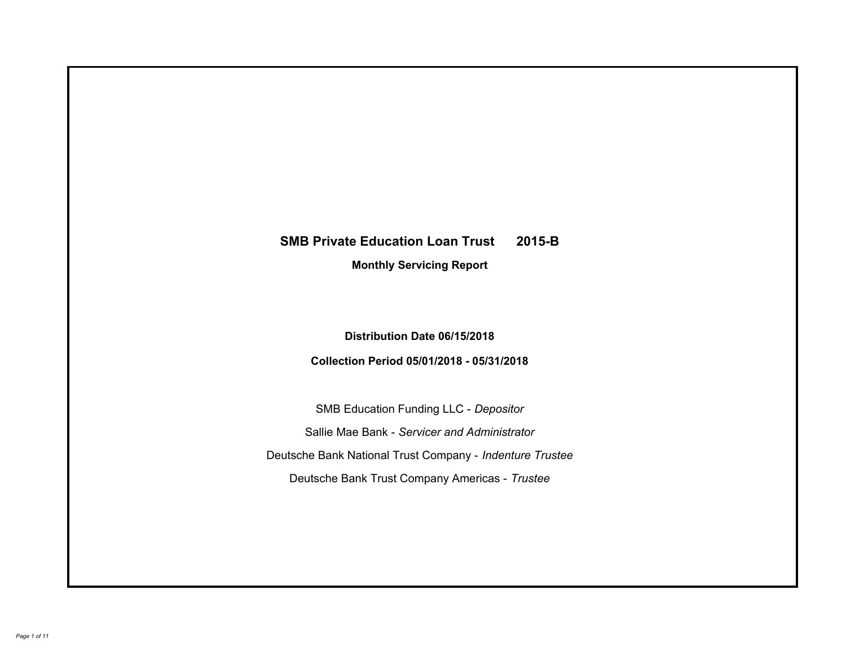# **SMB Private Education Loan Trust 2015-B Monthly Servicing Report**

### **Distribution Date 06/15/2018**

## **Collection Period 05/01/2018 - 05/31/2018**

SMB Education Funding LLC - *Depositor* Sallie Mae Bank - *Servicer and Administrator* Deutsche Bank National Trust Company - *Indenture Trustee* Deutsche Bank Trust Company Americas - *Trustee*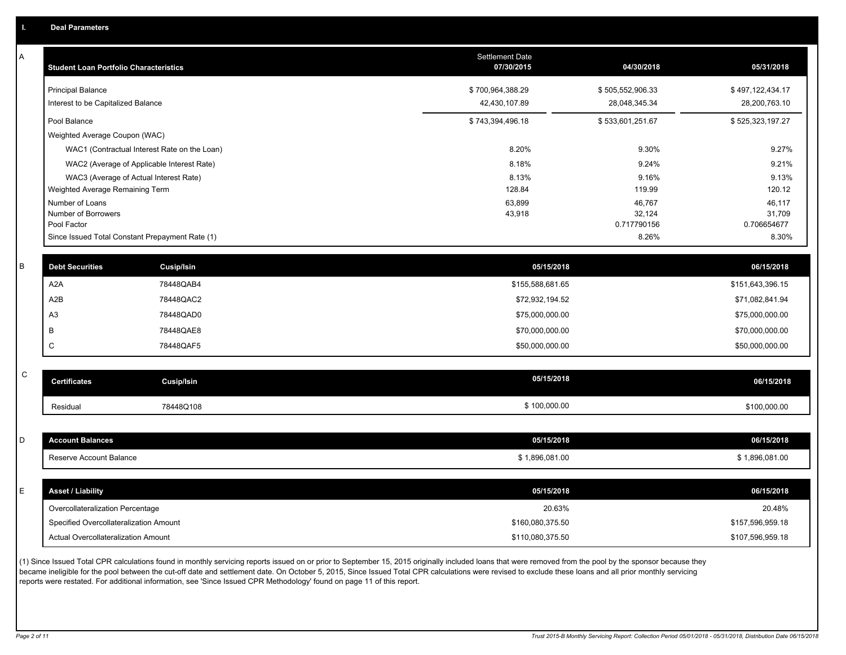| А | <b>Student Loan Portfolio Characteristics</b> |                                                 | Settlement Date<br>07/30/2015 | 04/30/2018            | 05/31/2018            |
|---|-----------------------------------------------|-------------------------------------------------|-------------------------------|-----------------------|-----------------------|
|   | <b>Principal Balance</b>                      |                                                 | \$700,964,388.29              | \$505,552,906.33      | \$497,122,434.17      |
|   | Interest to be Capitalized Balance            |                                                 | 42,430,107.89                 | 28,048,345.34         | 28,200,763.10         |
|   | Pool Balance                                  |                                                 | \$743,394,496.18              | \$533,601,251.67      | \$525,323,197.27      |
|   | Weighted Average Coupon (WAC)                 |                                                 |                               |                       |                       |
|   |                                               | WAC1 (Contractual Interest Rate on the Loan)    | 8.20%                         | 9.30%                 | 9.27%                 |
|   |                                               | WAC2 (Average of Applicable Interest Rate)      | 8.18%                         | 9.24%                 | 9.21%                 |
|   |                                               | WAC3 (Average of Actual Interest Rate)          | 8.13%                         | 9.16%                 | 9.13%                 |
|   | Weighted Average Remaining Term               |                                                 | 128.84                        | 119.99                | 120.12                |
|   | Number of Loans                               |                                                 | 63,899                        | 46,767                | 46,117                |
|   | Number of Borrowers<br>Pool Factor            |                                                 | 43,918                        | 32,124<br>0.717790156 | 31,709<br>0.706654677 |
|   |                                               | Since Issued Total Constant Prepayment Rate (1) |                               | 8.26%                 | 8.30%                 |
|   |                                               |                                                 |                               |                       |                       |
| B | <b>Debt Securities</b>                        | <b>Cusip/Isin</b>                               | 05/15/2018                    |                       | 06/15/2018            |
|   | A <sub>2</sub> A                              | 78448QAB4                                       | \$155,588,681.65              |                       | \$151,643,396.15      |
|   | A2B                                           | 78448QAC2                                       | \$72,932,194.52               |                       | \$71,082,841.94       |
|   | A <sub>3</sub>                                | 78448QAD0                                       | \$75,000,000.00               |                       | \$75,000,000.00       |
|   | B                                             | 78448QAE8                                       | \$70,000,000.00               |                       | \$70,000,000.00       |
|   | $\mathsf C$                                   | 78448QAF5                                       | \$50,000,000.00               |                       | \$50,000,000.00       |
|   |                                               |                                                 |                               |                       |                       |
| C | <b>Certificates</b>                           | <b>Cusip/Isin</b>                               | 05/15/2018                    |                       | 06/15/2018            |
|   | Residual                                      | 78448Q108                                       | \$100,000.00                  |                       | \$100,000.00          |
|   |                                               |                                                 |                               |                       |                       |
| D | <b>Account Balances</b>                       |                                                 | 05/15/2018                    |                       | 06/15/2018            |
|   | Reserve Account Balance                       |                                                 | \$1,896,081.00                |                       | \$1,896,081.00        |
|   |                                               |                                                 |                               |                       |                       |
| E | <b>Asset / Liability</b>                      |                                                 | 05/15/2018                    |                       | 06/15/2018            |
|   | Overcollateralization Percentage              |                                                 | 20.63%                        |                       | 20.48%                |
|   | Specified Overcollateralization Amount        |                                                 | \$160,080,375.50              |                       | \$157,596,959.18      |
|   | Actual Overcollateralization Amount           |                                                 | \$110,080,375.50              |                       | \$107,596,959.18      |
|   |                                               |                                                 |                               |                       |                       |

(1) Since Issued Total CPR calculations found in monthly servicing reports issued on or prior to September 15, 2015 originally included loans that were removed from the pool by the sponsor because they became ineligible for the pool between the cut-off date and settlement date. On October 5, 2015, Since Issued Total CPR calculations were revised to exclude these loans and all prior monthly servicing reports were restated. For additional information, see 'Since Issued CPR Methodology' found on page 11 of this report.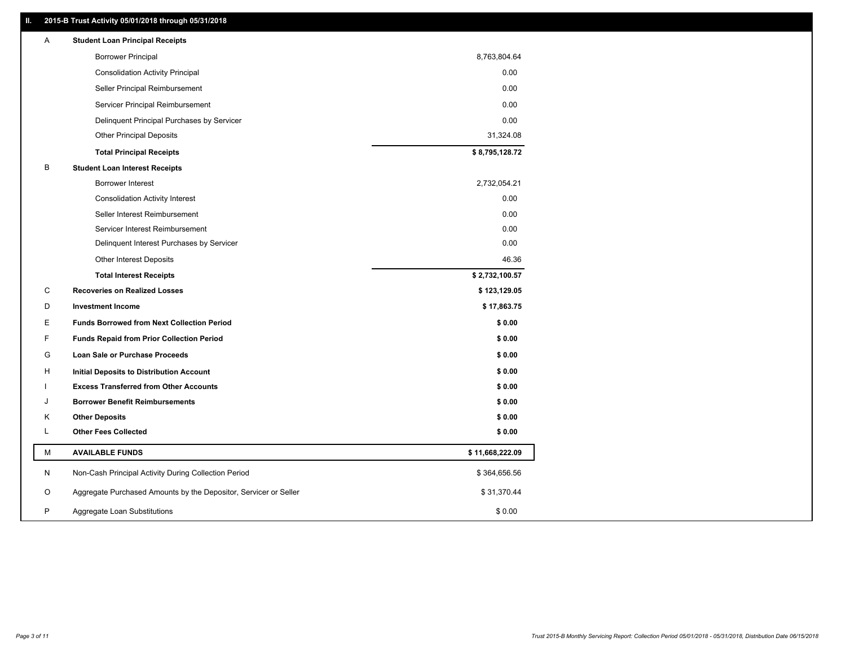#### **II. 2015-B Trust Activity 05/01/2018 through 05/31/2018**

| Α | <b>Student Loan Principal Receipts</b>                           |                 |  |
|---|------------------------------------------------------------------|-----------------|--|
|   | <b>Borrower Principal</b>                                        | 8,763,804.64    |  |
|   | <b>Consolidation Activity Principal</b>                          | 0.00            |  |
|   | Seller Principal Reimbursement                                   | 0.00            |  |
|   | Servicer Principal Reimbursement                                 | 0.00            |  |
|   | Delinquent Principal Purchases by Servicer                       | 0.00            |  |
|   | <b>Other Principal Deposits</b>                                  | 31,324.08       |  |
|   | <b>Total Principal Receipts</b>                                  | \$8,795,128.72  |  |
| B | <b>Student Loan Interest Receipts</b>                            |                 |  |
|   | <b>Borrower Interest</b>                                         | 2,732,054.21    |  |
|   | <b>Consolidation Activity Interest</b>                           | 0.00            |  |
|   | Seller Interest Reimbursement                                    | 0.00            |  |
|   | Servicer Interest Reimbursement                                  | 0.00            |  |
|   | Delinquent Interest Purchases by Servicer                        | 0.00            |  |
|   | Other Interest Deposits                                          | 46.36           |  |
|   | <b>Total Interest Receipts</b>                                   | \$2,732,100.57  |  |
| C | <b>Recoveries on Realized Losses</b>                             | \$123,129.05    |  |
| D | <b>Investment Income</b>                                         | \$17,863.75     |  |
| E | <b>Funds Borrowed from Next Collection Period</b>                | \$0.00          |  |
| F | <b>Funds Repaid from Prior Collection Period</b>                 | \$0.00          |  |
| G | Loan Sale or Purchase Proceeds                                   | \$0.00          |  |
| H | Initial Deposits to Distribution Account                         | \$0.00          |  |
|   | <b>Excess Transferred from Other Accounts</b>                    | \$0.00          |  |
| J | <b>Borrower Benefit Reimbursements</b>                           | \$0.00          |  |
| Κ | <b>Other Deposits</b>                                            | \$0.00          |  |
| L | <b>Other Fees Collected</b>                                      | \$0.00          |  |
| М | <b>AVAILABLE FUNDS</b>                                           | \$11,668,222.09 |  |
| N | Non-Cash Principal Activity During Collection Period             | \$364,656.56    |  |
| O | Aggregate Purchased Amounts by the Depositor, Servicer or Seller | \$31,370.44     |  |
| P | Aggregate Loan Substitutions                                     | \$0.00          |  |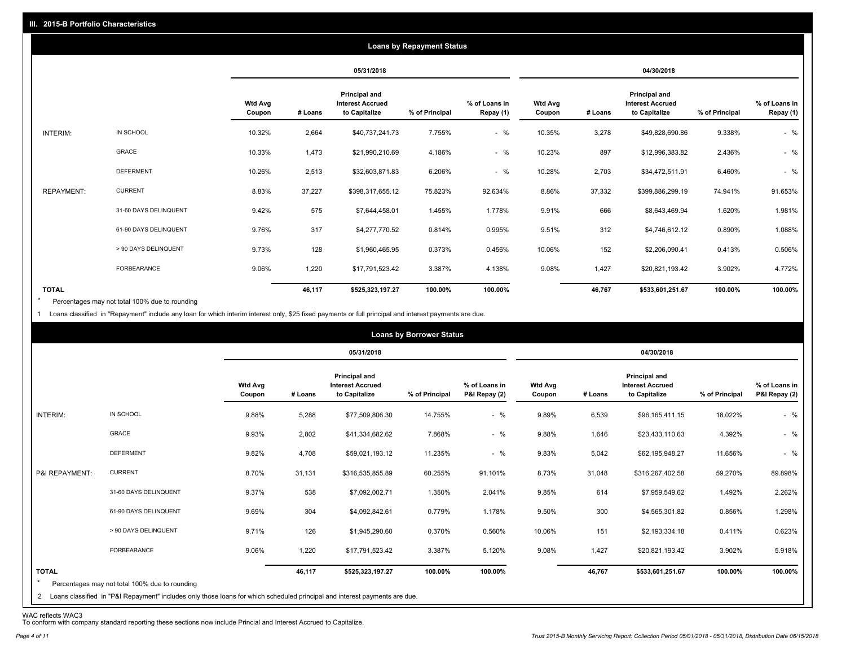|                   | <b>Loans by Repayment Status</b> |                          |         |                                                                  |                |                            |                          |         |                                                           |                |                            |
|-------------------|----------------------------------|--------------------------|---------|------------------------------------------------------------------|----------------|----------------------------|--------------------------|---------|-----------------------------------------------------------|----------------|----------------------------|
|                   |                                  |                          |         | 05/31/2018                                                       |                |                            | 04/30/2018               |         |                                                           |                |                            |
|                   |                                  | <b>Wtd Avg</b><br>Coupon | # Loans | <b>Principal and</b><br><b>Interest Accrued</b><br>to Capitalize | % of Principal | % of Loans in<br>Repay (1) | <b>Wtd Avg</b><br>Coupon | # Loans | Principal and<br><b>Interest Accrued</b><br>to Capitalize | % of Principal | % of Loans in<br>Repay (1) |
| INTERIM:          | IN SCHOOL                        | 10.32%                   | 2,664   | \$40,737,241.73                                                  | 7.755%         | $-$ %                      | 10.35%                   | 3,278   | \$49,828,690.86                                           | 9.338%         | $-$ %                      |
|                   | GRACE                            | 10.33%                   | 1,473   | \$21,990,210.69                                                  | 4.186%         | $-$ %                      | 10.23%                   | 897     | \$12,996,383.82                                           | 2.436%         | $-$ %                      |
|                   | <b>DEFERMENT</b>                 | 10.26%                   | 2,513   | \$32,603,871.83                                                  | 6.206%         | $-$ %                      | 10.28%                   | 2,703   | \$34,472,511.91                                           | 6.460%         | $-$ %                      |
| <b>REPAYMENT:</b> | <b>CURRENT</b>                   | 8.83%                    | 37,227  | \$398,317,655.12                                                 | 75.823%        | 92.634%                    | 8.86%                    | 37,332  | \$399,886,299.19                                          | 74.941%        | 91.653%                    |
|                   | 31-60 DAYS DELINQUENT            | 9.42%                    | 575     | \$7,644,458.01                                                   | 1.455%         | 1.778%                     | 9.91%                    | 666     | \$8,643,469.94                                            | 1.620%         | 1.981%                     |
|                   | 61-90 DAYS DELINQUENT            | 9.76%                    | 317     | \$4,277,770.52                                                   | 0.814%         | 0.995%                     | 9.51%                    | 312     | \$4,746,612.12                                            | 0.890%         | 1.088%                     |
|                   | > 90 DAYS DELINQUENT             | 9.73%                    | 128     | \$1,960,465.95                                                   | 0.373%         | 0.456%                     | 10.06%                   | 152     | \$2,206,090.41                                            | 0.413%         | 0.506%                     |
|                   | FORBEARANCE                      | 9.06%                    | 1,220   | \$17,791,523.42                                                  | 3.387%         | 4.138%                     | 9.08%                    | 1,427   | \$20,821,193.42                                           | 3.902%         | 4.772%                     |
| <b>TOTAL</b>      |                                  |                          | 46,117  | \$525,323,197.27                                                 | 100.00%        | 100.00%                    |                          | 46,767  | \$533,601,251.67                                          | 100.00%        | 100.00%                    |

Percentages may not total 100% due to rounding \*

1 Loans classified in "Repayment" include any loan for which interim interest only, \$25 fixed payments or full principal and interest payments are due.

|                                                                           |                                                                                                                              |                          |         |                                                           | <b>Loans by Borrower Status</b> |                                |                          |         |                                                                  |                |                                |
|---------------------------------------------------------------------------|------------------------------------------------------------------------------------------------------------------------------|--------------------------|---------|-----------------------------------------------------------|---------------------------------|--------------------------------|--------------------------|---------|------------------------------------------------------------------|----------------|--------------------------------|
|                                                                           |                                                                                                                              |                          |         | 05/31/2018                                                |                                 |                                | 04/30/2018               |         |                                                                  |                |                                |
|                                                                           |                                                                                                                              | <b>Wtd Avg</b><br>Coupon | # Loans | Principal and<br><b>Interest Accrued</b><br>to Capitalize | % of Principal                  | % of Loans in<br>P&I Repay (2) | <b>Wtd Avg</b><br>Coupon | # Loans | <b>Principal and</b><br><b>Interest Accrued</b><br>to Capitalize | % of Principal | % of Loans in<br>P&I Repay (2) |
| IN SCHOOL<br>INTERIM:                                                     |                                                                                                                              | 9.88%                    | 5,288   | \$77,509,806.30                                           | 14.755%                         | $-$ %                          | 9.89%                    | 6,539   | \$96,165,411.15                                                  | 18.022%        | $-$ %                          |
| GRACE                                                                     |                                                                                                                              | 9.93%                    | 2,802   | \$41,334,682.62                                           | 7.868%                          | $-$ %                          | 9.88%                    | 1,646   | \$23,433,110.63                                                  | 4.392%         | $-$ %                          |
|                                                                           | <b>DEFERMENT</b>                                                                                                             | 9.82%                    | 4,708   | \$59,021,193.12                                           | 11.235%                         | $-$ %                          | 9.83%                    | 5,042   | \$62,195,948.27                                                  | 11.656%        | $-$ %                          |
| <b>CURRENT</b><br>P&I REPAYMENT:                                          |                                                                                                                              | 8.70%                    | 31,131  | \$316,535,855.89                                          | 60.255%                         | 91.101%                        | 8.73%                    | 31,048  | \$316,267,402.58                                                 | 59.270%        | 89.898%                        |
|                                                                           | 31-60 DAYS DELINQUENT                                                                                                        | 9.37%                    | 538     | \$7,092,002.71                                            | 1.350%                          | 2.041%                         | 9.85%                    | 614     | \$7,959,549.62                                                   | 1.492%         | 2.262%                         |
|                                                                           | 61-90 DAYS DELINQUENT                                                                                                        | 9.69%                    | 304     | \$4,092,842.61                                            | 0.779%                          | 1.178%                         | 9.50%                    | 300     | \$4,565,301.82                                                   | 0.856%         | 1.298%                         |
|                                                                           | > 90 DAYS DELINQUENT                                                                                                         | 9.71%                    | 126     | \$1,945,290.60                                            | 0.370%                          | 0.560%                         | 10.06%                   | 151     | \$2,193,334.18                                                   | 0.411%         | 0.623%                         |
|                                                                           | <b>FORBEARANCE</b>                                                                                                           | 9.06%                    | 1,220   | \$17,791,523.42                                           | 3.387%                          | 5.120%                         | 9.08%                    | 1,427   | \$20,821,193.42                                                  | 3.902%         | 5.918%                         |
| <b>TOTAL</b><br>$\star$<br>Percentages may not total 100% due to rounding | 2 Loans classified in "P&I Repayment" includes only those loans for which scheduled principal and interest payments are due. |                          | 46,117  | \$525,323,197.27                                          | 100.00%                         | 100.00%                        |                          | 46,767  | \$533,601,251.67                                                 | 100.00%        | 100.00%                        |

WAC reflects WAC3 To conform with company standard reporting these sections now include Princial and Interest Accrued to Capitalize.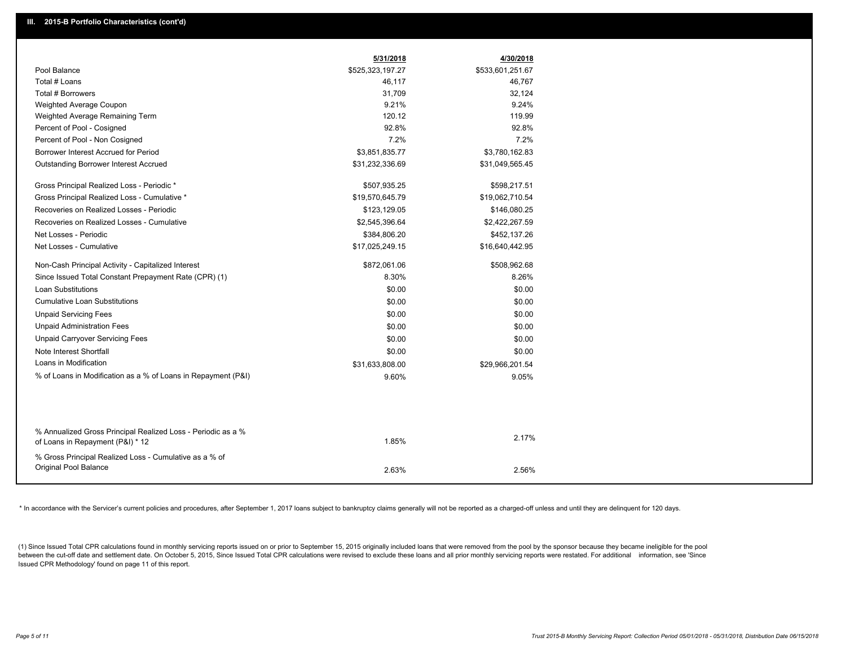|                                                                                                  | 5/31/2018        | 4/30/2018        |
|--------------------------------------------------------------------------------------------------|------------------|------------------|
| Pool Balance                                                                                     | \$525,323,197.27 | \$533,601,251.67 |
| Total # Loans                                                                                    | 46,117           | 46,767           |
| Total # Borrowers                                                                                | 31,709           | 32,124           |
| Weighted Average Coupon                                                                          | 9.21%            | 9.24%            |
| Weighted Average Remaining Term                                                                  | 120.12           | 119.99           |
| Percent of Pool - Cosigned                                                                       | 92.8%            | 92.8%            |
| Percent of Pool - Non Cosigned                                                                   | 7.2%             | 7.2%             |
| Borrower Interest Accrued for Period                                                             | \$3,851,835.77   | \$3,780,162.83   |
| <b>Outstanding Borrower Interest Accrued</b>                                                     | \$31,232,336.69  | \$31,049,565.45  |
| Gross Principal Realized Loss - Periodic *                                                       | \$507,935.25     | \$598,217.51     |
| Gross Principal Realized Loss - Cumulative *                                                     | \$19,570,645.79  | \$19,062,710.54  |
| Recoveries on Realized Losses - Periodic                                                         | \$123,129.05     | \$146,080.25     |
| Recoveries on Realized Losses - Cumulative                                                       | \$2,545,396.64   | \$2,422,267.59   |
| Net Losses - Periodic                                                                            | \$384,806.20     | \$452,137.26     |
| Net Losses - Cumulative                                                                          | \$17,025,249.15  | \$16,640,442.95  |
| Non-Cash Principal Activity - Capitalized Interest                                               | \$872,061.06     | \$508,962.68     |
| Since Issued Total Constant Prepayment Rate (CPR) (1)                                            | 8.30%            | 8.26%            |
| <b>Loan Substitutions</b>                                                                        | \$0.00           | \$0.00           |
| <b>Cumulative Loan Substitutions</b>                                                             | \$0.00           | \$0.00           |
| <b>Unpaid Servicing Fees</b>                                                                     | \$0.00           | \$0.00           |
| <b>Unpaid Administration Fees</b>                                                                | \$0.00           | \$0.00           |
| <b>Unpaid Carryover Servicing Fees</b>                                                           | \$0.00           | \$0.00           |
| Note Interest Shortfall                                                                          | \$0.00           | \$0.00           |
| Loans in Modification                                                                            | \$31,633,808.00  | \$29,966,201.54  |
| % of Loans in Modification as a % of Loans in Repayment (P&I)                                    | 9.60%            | 9.05%            |
|                                                                                                  |                  |                  |
|                                                                                                  |                  |                  |
| % Annualized Gross Principal Realized Loss - Periodic as a %<br>of Loans in Repayment (P&I) * 12 | 1.85%            | 2.17%            |
| % Gross Principal Realized Loss - Cumulative as a % of                                           |                  |                  |
| Original Pool Balance                                                                            | 2.63%            | 2.56%            |
|                                                                                                  |                  |                  |

\* In accordance with the Servicer's current policies and procedures, after September 1, 2017 loans subject to bankruptcy claims generally will not be reported as a charged-off unless and until they are delinquent for 120 d

(1) Since Issued Total CPR calculations found in monthly servicing reports issued on or prior to September 15, 2015 originally included loans that were removed from the pool by the sponsor because they became ineligible fo between the cut-off date and settlement date. On October 5, 2015, Since Issued Total CPR calculations were revised to exclude these loans and all prior monthly servicing reports were restated. For additional information, s Issued CPR Methodology' found on page 11 of this report.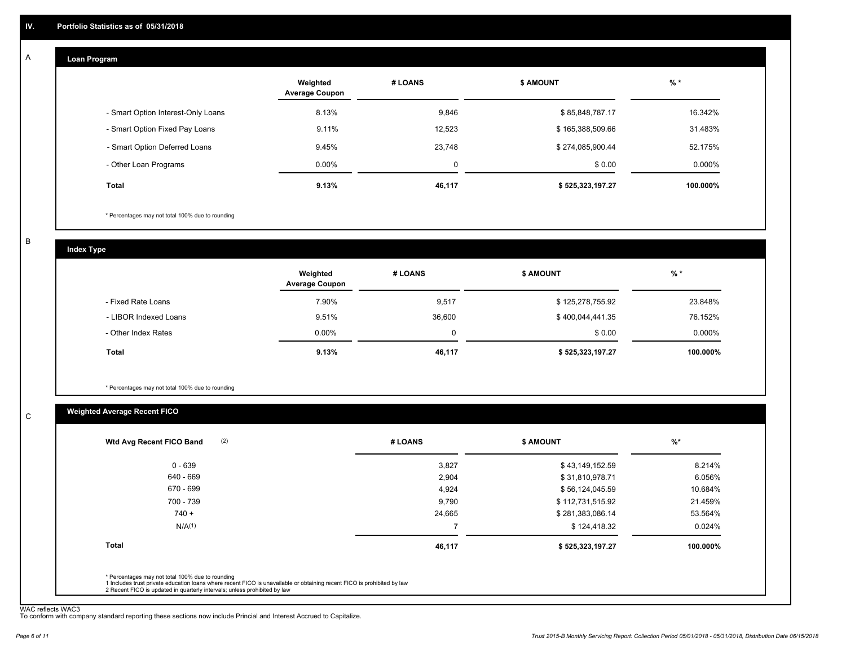#### **Loan Program**  A

|                                    | Weighted<br><b>Average Coupon</b> | # LOANS     | <b>\$ AMOUNT</b> | $%$ *     |
|------------------------------------|-----------------------------------|-------------|------------------|-----------|
| - Smart Option Interest-Only Loans | 8.13%                             | 9,846       | \$85,848,787.17  | 16.342%   |
| - Smart Option Fixed Pay Loans     | 9.11%                             | 12,523      | \$165,388,509.66 | 31.483%   |
| - Smart Option Deferred Loans      | 9.45%                             | 23.748      | \$274,085,900.44 | 52.175%   |
| - Other Loan Programs              | $0.00\%$                          | $\mathbf 0$ | \$0.00           | $0.000\%$ |
| Total                              | 9.13%                             | 46,117      | \$525,323,197.27 | 100.000%  |

\* Percentages may not total 100% due to rounding

B

C

**Index Type**

|                       | Weighted<br><b>Average Coupon</b> | # LOANS     | <b>\$ AMOUNT</b> | $%$ *     |
|-----------------------|-----------------------------------|-------------|------------------|-----------|
| - Fixed Rate Loans    | 7.90%                             | 9,517       | \$125,278,755.92 | 23.848%   |
| - LIBOR Indexed Loans | 9.51%                             | 36,600      | \$400,044,441.35 | 76.152%   |
| - Other Index Rates   | $0.00\%$                          | $\mathbf 0$ | \$0.00           | $0.000\%$ |
| Total                 | 9.13%                             | 46,117      | \$525,323,197.27 | 100.000%  |

\* Percentages may not total 100% due to rounding

#### **Weighted Average Recent FICO**

| \$43,149,152.59  | 8.214%   |
|------------------|----------|
| \$31,810,978.71  | 6.056%   |
| \$56,124,045.59  | 10.684%  |
| \$112,731,515.92 | 21.459%  |
| \$281,383,086.14 | 53.564%  |
| \$124,418.32     | 0.024%   |
| \$525,323,197.27 | 100.000% |
|                  |          |
|                  |          |

WAC reflects WAC3 To conform with company standard reporting these sections now include Princial and Interest Accrued to Capitalize.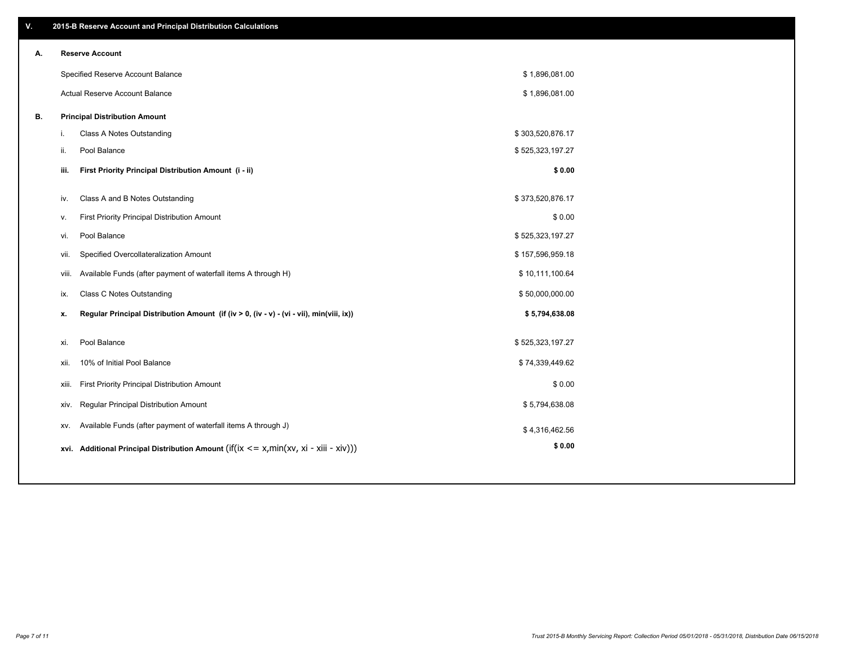| ۷. |      | 2015-B Reserve Account and Principal Distribution Calculations                             |                  |  |
|----|------|--------------------------------------------------------------------------------------------|------------------|--|
| А. |      | <b>Reserve Account</b>                                                                     |                  |  |
|    |      | Specified Reserve Account Balance                                                          | \$1,896,081.00   |  |
|    |      | Actual Reserve Account Balance                                                             | \$1,896,081.00   |  |
| В. |      | <b>Principal Distribution Amount</b>                                                       |                  |  |
|    | j.   | Class A Notes Outstanding                                                                  | \$303,520,876.17 |  |
|    | ii.  | Pool Balance                                                                               | \$525,323,197.27 |  |
|    | iii. | First Priority Principal Distribution Amount (i - ii)                                      | \$0.00           |  |
|    |      |                                                                                            |                  |  |
|    | iv.  | Class A and B Notes Outstanding                                                            | \$373,520,876.17 |  |
|    | v.   | First Priority Principal Distribution Amount                                               | \$0.00           |  |
|    | vi.  | Pool Balance                                                                               | \$525,323,197.27 |  |
|    |      | Specified Overcollateralization Amount<br>vii.                                             | \$157,596,959.18 |  |
|    |      | Available Funds (after payment of waterfall items A through H)<br>viii.                    | \$10,111,100.64  |  |
|    | ix.  | <b>Class C Notes Outstanding</b>                                                           | \$50,000,000.00  |  |
|    | х.   | Regular Principal Distribution Amount (if (iv > 0, (iv - v) - (vi - vii), min(viii, ix))   | \$5,794,638.08   |  |
|    | xi.  | Pool Balance                                                                               | \$525,323,197.27 |  |
|    |      |                                                                                            |                  |  |
|    | xii. | 10% of Initial Pool Balance                                                                | \$74,339,449.62  |  |
|    |      | First Priority Principal Distribution Amount<br>xiii.                                      | \$0.00           |  |
|    |      | Regular Principal Distribution Amount<br>XIV.                                              | \$5,794,638.08   |  |
|    |      | Available Funds (after payment of waterfall items A through J)<br>XV.                      | \$4,316,462.56   |  |
|    |      | xvi. Additional Principal Distribution Amount (if(ix $\lt$ = x, min(xv, xi - xiii - xiv))) | \$0.00           |  |
|    |      |                                                                                            |                  |  |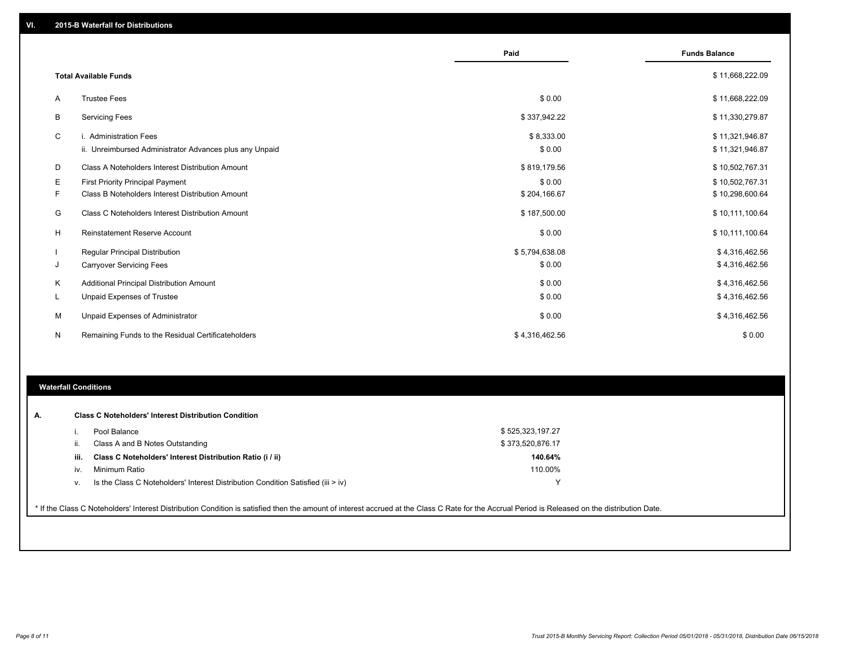|   |                                                         | Paid           | <b>Funds Balance</b> |
|---|---------------------------------------------------------|----------------|----------------------|
|   | <b>Total Available Funds</b>                            |                | \$11,668,222.09      |
| Α | <b>Trustee Fees</b>                                     | \$0.00         | \$11,668,222.09      |
| В | <b>Servicing Fees</b>                                   | \$337,942.22   | \$11,330,279.87      |
| C | i. Administration Fees                                  | \$8,333.00     | \$11,321,946.87      |
|   | ii. Unreimbursed Administrator Advances plus any Unpaid | \$0.00         | \$11,321,946.87      |
| D | Class A Noteholders Interest Distribution Amount        | \$819,179.56   | \$10,502,767.31      |
| Ε | <b>First Priority Principal Payment</b>                 | \$0.00         | \$10,502,767.31      |
| F | Class B Noteholders Interest Distribution Amount        | \$204,166.67   | \$10,298,600.64      |
| G | Class C Noteholders Interest Distribution Amount        | \$187,500.00   | \$10,111,100.64      |
| н | Reinstatement Reserve Account                           | \$0.00         | \$10,111,100.64      |
|   | Regular Principal Distribution                          | \$5,794,638.08 | \$4,316,462.56       |
| J | <b>Carryover Servicing Fees</b>                         | \$0.00         | \$4,316,462.56       |
| Κ | Additional Principal Distribution Amount                | \$0.00         | \$4,316,462.56       |
| L | <b>Unpaid Expenses of Trustee</b>                       | \$0.00         | \$4,316,462.56       |
| М | Unpaid Expenses of Administrator                        | \$0.00         | \$4,316,462.56       |
| N | Remaining Funds to the Residual Certificateholders      | \$4,316,462.56 | \$0.00               |
|   |                                                         |                |                      |
|   |                                                         |                |                      |

#### **Waterfall Conditions**

| А.                                                                                                                                                                                              |      | <b>Class C Noteholders' Interest Distribution Condition</b><br>Pool Balance      | \$525,323,197.27 |  |  |  |  |
|-------------------------------------------------------------------------------------------------------------------------------------------------------------------------------------------------|------|----------------------------------------------------------------------------------|------------------|--|--|--|--|
|                                                                                                                                                                                                 |      | Class A and B Notes Outstanding                                                  | \$373,520,876.17 |  |  |  |  |
|                                                                                                                                                                                                 | iii. | Class C Noteholders' Interest Distribution Ratio (i / ii)                        | 140.64%          |  |  |  |  |
|                                                                                                                                                                                                 | iv.  | Minimum Ratio                                                                    | 110.00%          |  |  |  |  |
|                                                                                                                                                                                                 |      | Is the Class C Noteholders' Interest Distribution Condition Satisfied (iii > iv) |                  |  |  |  |  |
| * If the Class C Noteholders' Interest Distribution Condition is satisfied then the amount of interest accrued at the Class C Rate for the Accrual Period is Released on the distribution Date. |      |                                                                                  |                  |  |  |  |  |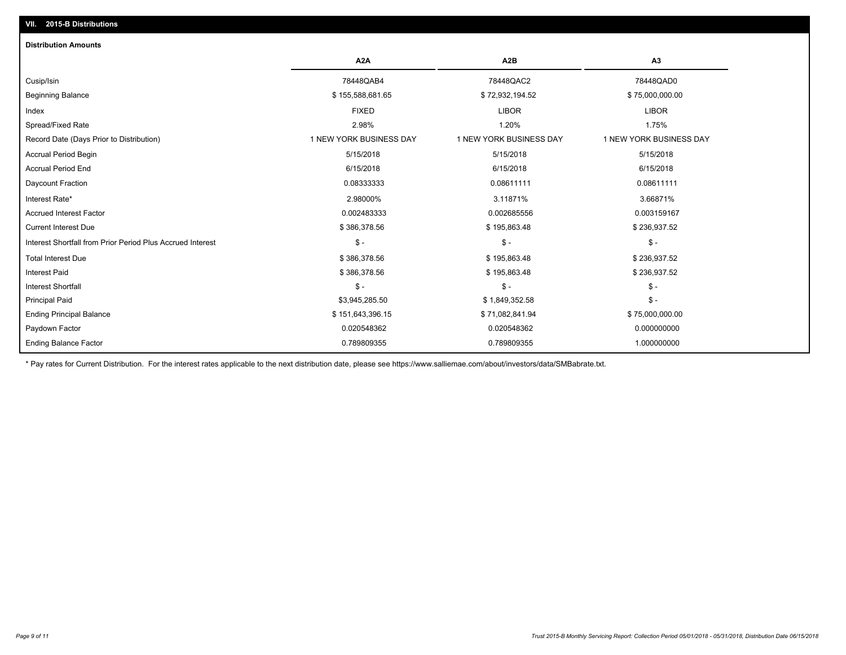| <b>Distribution Amounts</b>                                |                         |                         |                         |
|------------------------------------------------------------|-------------------------|-------------------------|-------------------------|
|                                                            | A <sub>2</sub> A        | A <sub>2</sub> B        | A3                      |
| Cusip/Isin                                                 | 78448QAB4               | 78448QAC2               | 78448QAD0               |
| <b>Beginning Balance</b>                                   | \$155,588,681.65        | \$72,932,194.52         | \$75,000,000.00         |
| Index                                                      | <b>FIXED</b>            | <b>LIBOR</b>            | <b>LIBOR</b>            |
| Spread/Fixed Rate                                          | 2.98%                   | 1.20%                   | 1.75%                   |
| Record Date (Days Prior to Distribution)                   | 1 NEW YORK BUSINESS DAY | 1 NEW YORK BUSINESS DAY | 1 NEW YORK BUSINESS DAY |
| <b>Accrual Period Begin</b>                                | 5/15/2018               | 5/15/2018               | 5/15/2018               |
| <b>Accrual Period End</b>                                  | 6/15/2018               | 6/15/2018               | 6/15/2018               |
| Daycount Fraction                                          | 0.08333333              | 0.08611111              | 0.08611111              |
| Interest Rate*                                             | 2.98000%                | 3.11871%                | 3.66871%                |
| <b>Accrued Interest Factor</b>                             | 0.002483333             | 0.002685556             | 0.003159167             |
| <b>Current Interest Due</b>                                | \$386,378.56            | \$195,863.48            | \$236,937.52            |
| Interest Shortfall from Prior Period Plus Accrued Interest | $\mathsf{\$}$ -         | $\mathsf{\$}$ -         | $\mathsf{\$}$ -         |
| <b>Total Interest Due</b>                                  | \$386,378.56            | \$195,863.48            | \$236,937.52            |
| <b>Interest Paid</b>                                       | \$386,378.56            | \$195,863.48            | \$236,937.52            |
| <b>Interest Shortfall</b>                                  | $\mathsf{\$}$ -         | $\mathsf{\$}$ -         | $\mathsf{\$}$ -         |
| <b>Principal Paid</b>                                      | \$3,945,285.50          | \$1,849,352.58          | $\mathsf{\$}$ -         |
| <b>Ending Principal Balance</b>                            | \$151,643,396.15        | \$71,082,841.94         | \$75,000,000.00         |
| Paydown Factor                                             | 0.020548362             | 0.020548362             | 0.000000000             |
| <b>Ending Balance Factor</b>                               | 0.789809355             | 0.789809355             | 1.000000000             |

\* Pay rates for Current Distribution. For the interest rates applicable to the next distribution date, please see https://www.salliemae.com/about/investors/data/SMBabrate.txt.

**VII. 2015-B Distributions**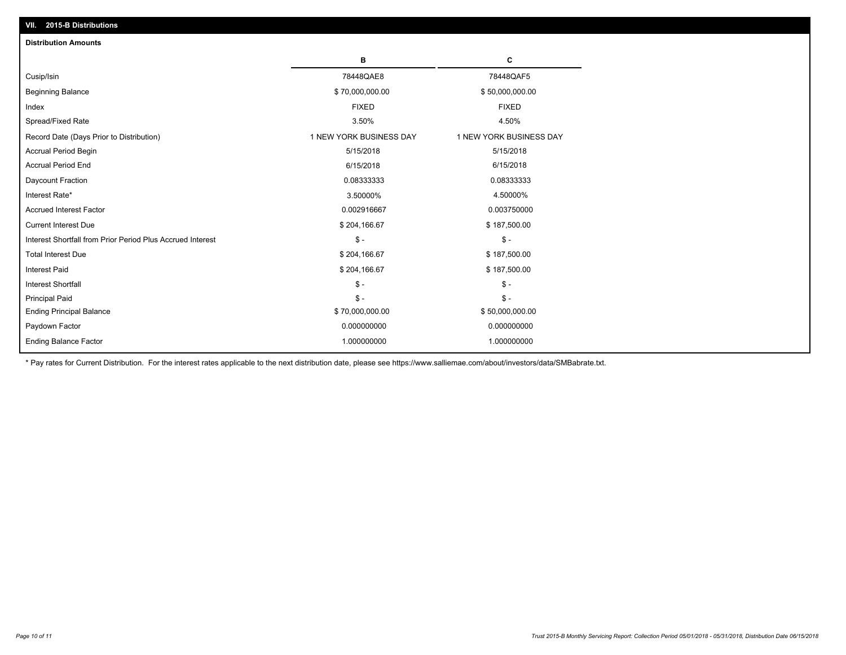| <b>Distribution Amounts</b>                                |                         |                         |
|------------------------------------------------------------|-------------------------|-------------------------|
|                                                            | в                       | c                       |
| Cusip/Isin                                                 | 78448QAE8               | 78448QAF5               |
| <b>Beginning Balance</b>                                   | \$70,000,000.00         | \$50,000,000.00         |
| Index                                                      | <b>FIXED</b>            | <b>FIXED</b>            |
| Spread/Fixed Rate                                          | 3.50%                   | 4.50%                   |
| Record Date (Days Prior to Distribution)                   | 1 NEW YORK BUSINESS DAY | 1 NEW YORK BUSINESS DAY |
| <b>Accrual Period Begin</b>                                | 5/15/2018               | 5/15/2018               |
| <b>Accrual Period End</b>                                  | 6/15/2018               | 6/15/2018               |
| Daycount Fraction                                          | 0.08333333              | 0.08333333              |
| Interest Rate*                                             | 3.50000%                | 4.50000%                |
| <b>Accrued Interest Factor</b>                             | 0.002916667             | 0.003750000             |
| <b>Current Interest Due</b>                                | \$204,166.67            | \$187,500.00            |
| Interest Shortfall from Prior Period Plus Accrued Interest | $\mathcal{S}$ -         | $\mathcal{S}$ -         |
| <b>Total Interest Due</b>                                  | \$204,166.67            | \$187,500.00            |
| <b>Interest Paid</b>                                       | \$204,166.67            | \$187,500.00            |
| <b>Interest Shortfall</b>                                  | $\mathcal{S}$ -         | $\mathsf{\$}$ -         |
| <b>Principal Paid</b>                                      | $\mathsf{\$}$ -         | $\mathsf{\$}$ -         |
| <b>Ending Principal Balance</b>                            | \$70,000,000.00         | \$50,000,000.00         |
| Paydown Factor                                             | 0.000000000             | 0.000000000             |
| <b>Ending Balance Factor</b>                               | 1.000000000             | 1.000000000             |

\* Pay rates for Current Distribution. For the interest rates applicable to the next distribution date, please see https://www.salliemae.com/about/investors/data/SMBabrate.txt.

**VII. 2015-B Distributions**